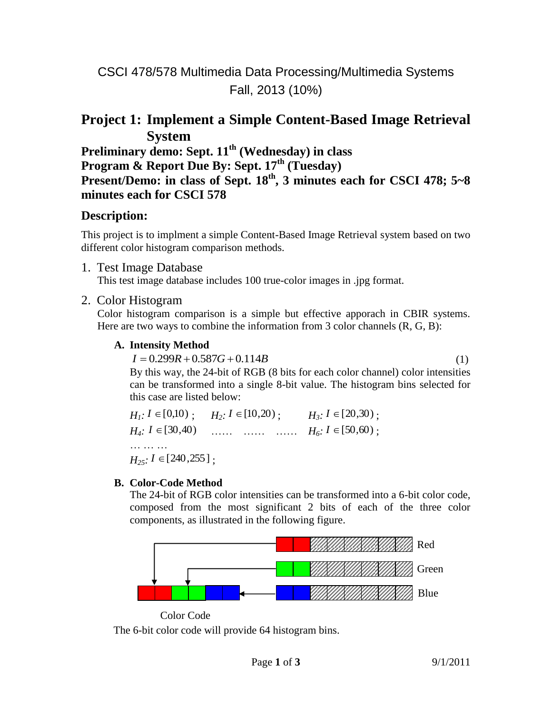# CSCI 478/578 Multimedia Data Processing/Multimedia Systems Fall, 2013 (10%)

# **Project 1: Implement a Simple Content-Based Image Retrieval System**

**Preliminary demo: Sept. 11th (Wednesday) in class Program & Report Due By: Sept. 17th (Tuesday) Present/Demo: in class of Sept. 18th , 3 minutes each for CSCI 478; 5~8 minutes each for CSCI 578**

### **Description:**

This project is to implment a simple Content-Based Image Retrieval system based on two different color histogram comparison methods.

1. Test Image Database

This test image database includes 100 true-color images in .jpg format.

### 2. Color Histogram

Color histogram comparison is a simple but effective apporach in CBIR systems. Here are two ways to combine the information from 3 color channels  $(R, G, B)$ :

### **A. Intensity Method**

 $I = 0.299R + 0.587G + 0.114B$ (1) By this way, the 24-bit of RGB (8 bits for each color channel) color intensities can be transformed into a single 8-bit value. The histogram bins selected for this case are listed below:

 $H_1$ :  $I \in [0,10)$ ;  $H_2$ :  $I \in [10,20)$ ;  $H_3$ :  $I \in [20,30)$ ;  $H_4$ :  $I \in [30,40)$  …… …… *H*<sub>6</sub>:  $I \in [50,60)$ ; … … …  $H_{25}$ :  $I \in [240, 255]$ ;

### **B. Color-Code Method**

The 24-bit of RGB color intensities can be transformed into a 6-bit color code, composed from the most significant 2 bits of each of the three color components, as illustrated in the following figure.



Color Code

The 6-bit color code will provide 64 histogram bins.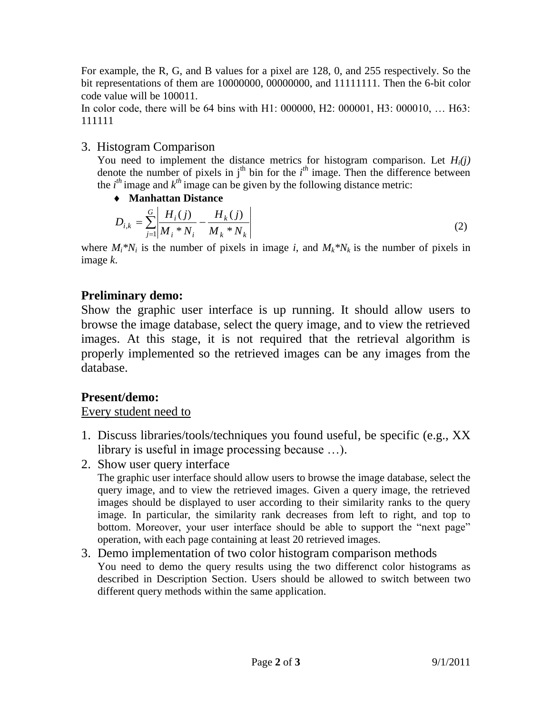For example, the R, G, and B values for a pixel are 128, 0, and 255 respectively. So the bit representations of them are 10000000, 00000000, and 11111111. Then the 6-bit color code value will be 100011.

In color code, there will be 64 bins with H1: 000000, H2: 000001, H3: 000010, … H63: 111111

# 3. Histogram Comparison

You need to implement the distance metrics for histogram comparison. Let *Hi(j)* denote the number of pixels in  $j<sup>th</sup>$  bin for the  $i<sup>th</sup>$  image. Then the difference between the  $i^{th}$  image and  $k^{th}$  image can be given by the following distance metric:

### **[Manhattan](http://mathworld.wolfram.com/ManhattanDistance.html) Distance**

$$
D_{i,k} = \sum_{j=1}^{G} \left| \frac{H_i(j)}{M_i * N_i} - \frac{H_k(j)}{M_k * N_k} \right|
$$
 (2)

where  $M_i^*N_i$  is the number of pixels in image *i*, and  $M_k^*N_k$  is the number of pixels in image *k*.

# **Preliminary demo:**

Show the graphic user interface is up running. It should allow users to browse the image database, select the query image, and to view the retrieved images. At this stage, it is not required that the retrieval algorithm is properly implemented so the retrieved images can be any images from the database.

# **Present/demo:**

### Every student need to

- 1. Discuss libraries/tools/techniques you found useful, be specific (e.g., XX library is useful in image processing because …).
- 2. Show user query interface

The graphic user interface should allow users to browse the image database, select the query image, and to view the retrieved images. Given a query image, the retrieved images should be displayed to user according to their similarity ranks to the query image. In particular, the similarity rank decreases from left to right, and top to bottom. Moreover, your user interface should be able to support the "next page" operation, with each page containing at least 20 retrieved images.

#### 3. Demo implementation of two color histogram comparison methods You need to demo the query results using the two differenct color histograms as described in Description Section. Users should be allowed to switch between two different query methods within the same application.